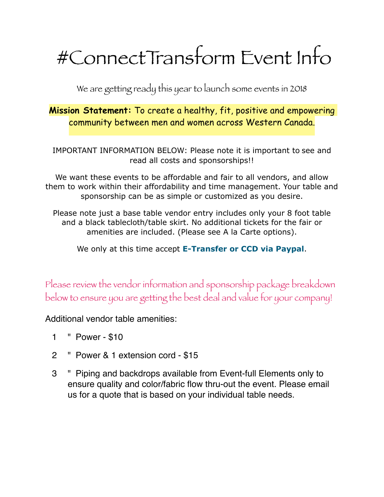# #ConnectTransform Event Info

We are getting ready this year to launch some events in 2018

**Mission Statement:** To create a healthy, fit, positive and empowering community between men and women across Western Canada.

IMPORTANT INFORMATION BELOW: Please note it is important to see and read all costs and sponsorships!!

We want these events to be affordable and fair to all vendors, and allow them to work within their affordability and time management. Your table and sponsorship can be as simple or customized as you desire.

Please note just a base table vendor entry includes only your 8 foot table and a black tablecloth/table skirt. No additional tickets for the fair or amenities are included. (Please see A la Carte options).

We only at this time accept **E-Transfer or CCD via Paypal**.

Please review the vendor information and sponsorship package breakdown below to ensure you are getting the best deal and value for your company!

Additional vendor table amenities:

- 1 " Power \$10
- 2 " Power & 1 extension cord \$15
- 3 " Piping and backdrops available from Event-full Elements only to ensure quality and color/fabric flow thru-out the event. Please email us for a quote that is based on your individual table needs.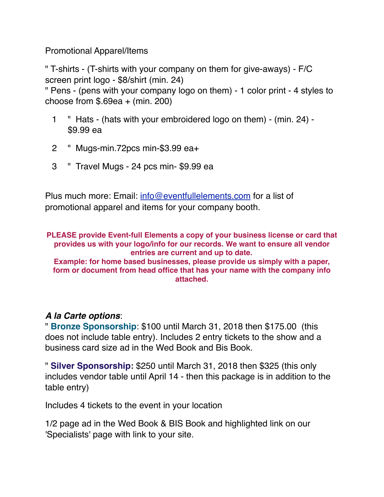Promotional Apparel/Items

" T-shirts - (T-shirts with your company on them for give-aways) - F/C screen print logo - \$8/shirt (min. 24)

" Pens - (pens with your company logo on them) - 1 color print - 4 styles to choose from  $$.69ea + (min. 200)$ 

- 1 " Hats (hats with your embroidered logo on them) (min. 24) \$9.99 ea
- 2 " Mugs-min.72pcs min-\$3.99 ea+
- 3 " Travel Mugs 24 pcs min- \$9.99 ea

Plus much more: Email: [info@eventfullelements.com](mailto:info@eventfullelements.com) for a list of promotional apparel and items for your company booth.

**PLEASE provide Event-full Elements a copy of your business license or card that provides us with your logo/info for our records. We want to ensure all vendor entries are current and up to date. Example: for home based businesses, please provide us simply with a paper,** 

**form or document from head office that has your name with the company info attached.** 

## *A la Carte options*:

" **Bronze Sponsorship**: \$100 until March 31, 2018 then \$175.00 (this does not include table entry). Includes 2 entry tickets to the show and a business card size ad in the Wed Book and Bis Book.

" **Silver Sponsorship:** \$250 until March 31, 2018 then \$325 (this only includes vendor table until April 14 - then this package is in addition to the table entry)

Includes 4 tickets to the event in your location

1/2 page ad in the Wed Book & BIS Book and highlighted link on our 'Specialists' page with link to your site.